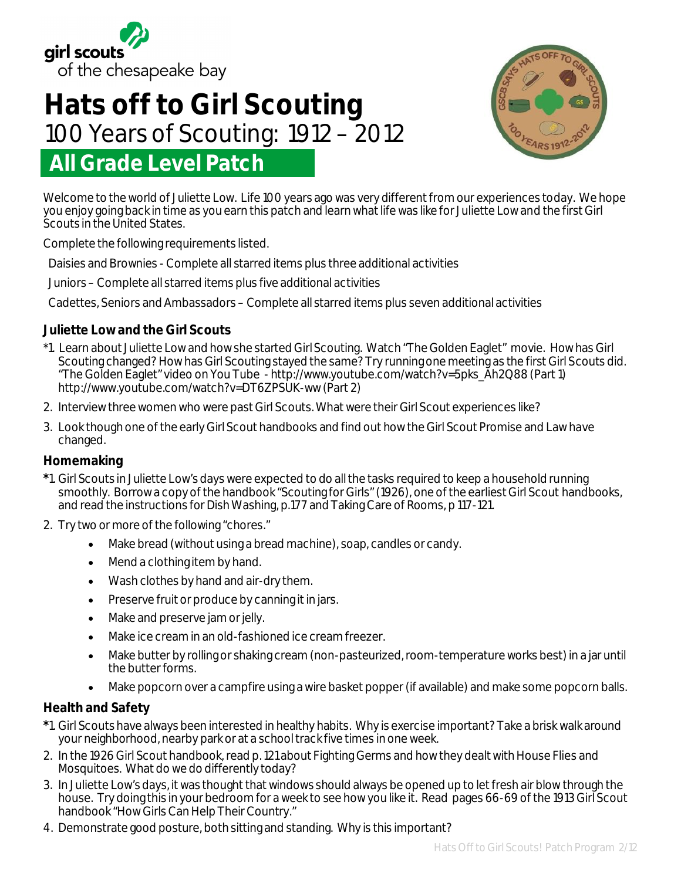

# **All Grade Level Patch Hats off to Girl Scouting**  100 Years of Scouting: 1912 – 2012



Welcome to the world of Juliette Low. Life 100 years ago was very different from our experiences today. We hope you enjoy going back in time as you earn this patch and learn what life was like for Juliette Low and the first Girl Scouts in the United States.

Complete the following requirements listed.

Daisies and Brownies - Complete all starred items plus three additional activities

Juniors – Complete all starred items plus five additional activities

Cadettes, Seniors and Ambassadors – Complete all starred items plus seven additional activities

# **Juliette Low and the Girl Scouts**

- \*1. Learn about Juliette Low and how she started Girl Scouting. Watch "The Golden Eaglet" movie. How has Girl Scouting changed? How has Girl Scouting stayed the same? Try running one meeting as the first Girl Scouts did. "The Golden Eaglet" video on You Tube - http://www.youtube.com/watch?v=5pks\_Ah2Q88 (Part 1) http://www.youtube.com/watch?v=DT6ZPSUK-ww (Part 2)
- 2. Interview three women who were past Girl Scouts. What were their Girl Scout experiences like?
- 3. Look though one of the early Girl Scout handbooks and find out how the Girl Scout Promise and Law have changed.

## **Homemaking**

- **\***1. Girl Scouts in Juliette Low's days were expected to do all the tasks required to keep a household running smoothly. Borrow a copy of the handbook "Scouting for Girls" (1926), one of the earliest Girl Scout handbooks, and read the instructions for Dish Washing, p.177 and Taking Care of Rooms, p 117-121.
- 2. Try two or more of the following "chores."
	- Make bread (without using a bread machine), soap, candles or candy.
	- Mend a clothing item by hand.
	- Wash clothes by hand and air-dry them.
	- Preserve fruit or produce by canning it in jars.
	- Make and preserve jam or jelly.
	- Make ice cream in an old-fashioned ice cream freezer.
	- Make butter by rolling or shaking cream (non-pasteurized, room-temperature works best) in a jar until the butter forms.
	- Make popcorn over a campfire using a wire basket popper (if available) and make some popcorn balls.

## **Health and Safety**

- **\***1. Girl Scouts have always been interested in healthy habits. Why is exercise important? Take a brisk walk around your neighborhood, nearby park or at a school track five times in one week.
- 2. In the 1926 Girl Scout handbook, read p. 121 about Fighting Germs and how they dealt with House Flies and Mosquitoes. What do we do differently today?
- 3. In Juliette Low's days, it was thought that windows should always be opened up to let fresh air blow through the house. Try doing this in your bedroom for a week to see how you like it. Read pages 66-69 of the 1913 Girl Scout handbook "How Girls Can Help Their Country."
- 4. Demonstrate good posture, both sitting and standing. Why is this important?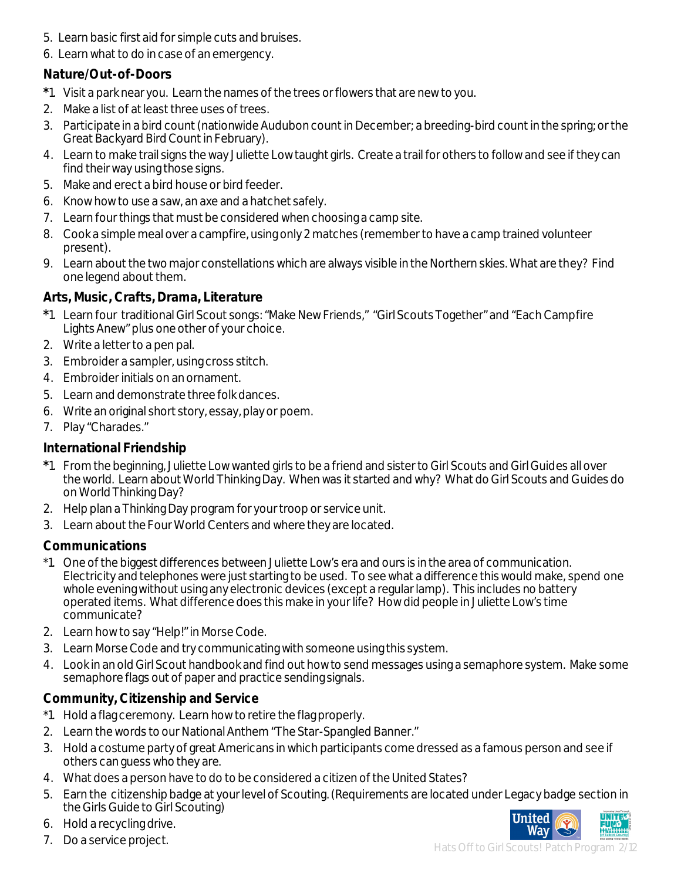- 5. Learn basic first aid for simple cuts and bruises.
- 6. Learn what to do in case of an emergency.

# **Nature/Out-of-Doors**

- **\***1. Visit a park near you. Learn the names of the trees or flowers that are new to you.
- 2. Make a list of at least three uses of trees.
- 3. Participate in a bird count (nationwide Audubon count in December; a breeding-bird count in the spring; or the Great Backyard Bird Count in February).
- 4. Learn to make trail signs the way Juliette Low taught girls. Create a trail for others to follow and see if they can find their way using those signs.
- 5. Make and erect a bird house or bird feeder.
- 6. Know how to use a saw, an axe and a hatchet safely.
- 7. Learn four things that must be considered when choosing a camp site.
- 8. Cook a simple meal over a campfire, using only 2 matches (remember to have a camp trained volunteer present).
- 9. Learn about the two major constellations which are always visible in the Northern skies. What are they? Find one legend about them.

# **Arts, Music, Crafts, Drama, Literature**

- **\***1. Learn four traditional Girl Scout songs: "Make New Friends," "Girl Scouts Together" and "Each Campfire Lights Anew" plus one other of your choice.
- 2. Write a letter to a pen pal.
- 3. Embroider a sampler, using cross stitch.
- 4. Embroider initials on an ornament.
- 5. Learn and demonstrate three folk dances.
- 6. Write an original short story, essay, play or poem.
- 7. Play "Charades."

# **International Friendship**

- **\***1. From the beginning, Juliette Low wanted girls to be a friend and sister to Girl Scouts and Girl Guides all over the world. Learn about World Thinking Day. When was it started and why? What do Girl Scouts and Guides do on World Thinking Day?
- 2. Help plan a Thinking Day program for your troop or service unit.
- 3. Learn about the Four World Centers and where they are located.

# **Communications**

- \*1. One of the biggest differences between Juliette Low's era and ours is in the area of communication. Electricity and telephones were just starting to be used. To see what a difference this would make, spend one whole evening without using any electronic devices (except a regular lamp). This includes no battery operated items. What difference does this make in your life? How did people in Juliette Low's time communicate?
- 2. Learn how to say "Help!" in Morse Code.
- 3. Learn Morse Code and try communicating with someone using this system.
- 4. Look in an old Girl Scout handbook and find out how to send messages using a semaphore system. Make some semaphore flags out of paper and practice sending signals.

# **Community, Citizenship and Service**

- \*1. Hold a flag ceremony. Learn how to retire the flag properly.
- 2. Learn the words to our National Anthem "The Star-Spangled Banner."
- 3. Hold a costume party of great Americans in which participants come dressed as a famous person and see if others can guess who they are.
- 4. What does a person have to do to be considered a citizen of the United States?
- 5. Earn the citizenship badge at your level of Scouting. (Requirements are located under Legacy badge section in the Girls Guide to Girl Scouting)



7. Do a service project.



Hats Off to Girl Scouts! Patch Program 2/12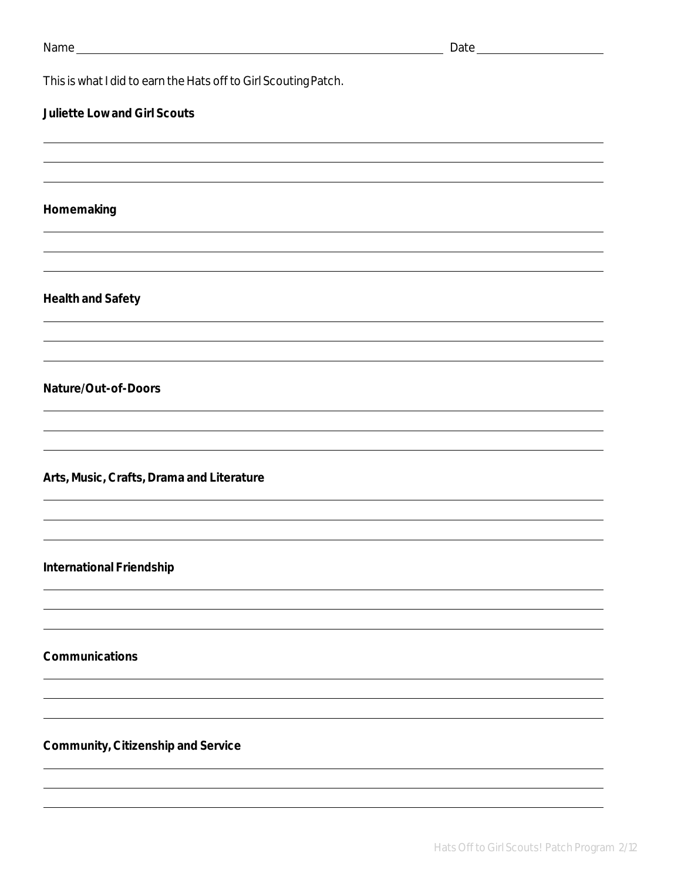This is what I did to earn the Hats off to Girl Scouting Patch.

## **Juliette Low and Girl Scouts**

#### **Homemaking**

#### **Health and Safety**

#### **Nature/Out-of-Doors**

**Arts, Music, Crafts, Drama and Literature**

#### **International Friendship**

**Communications**

#### **Community, Citizenship and Service**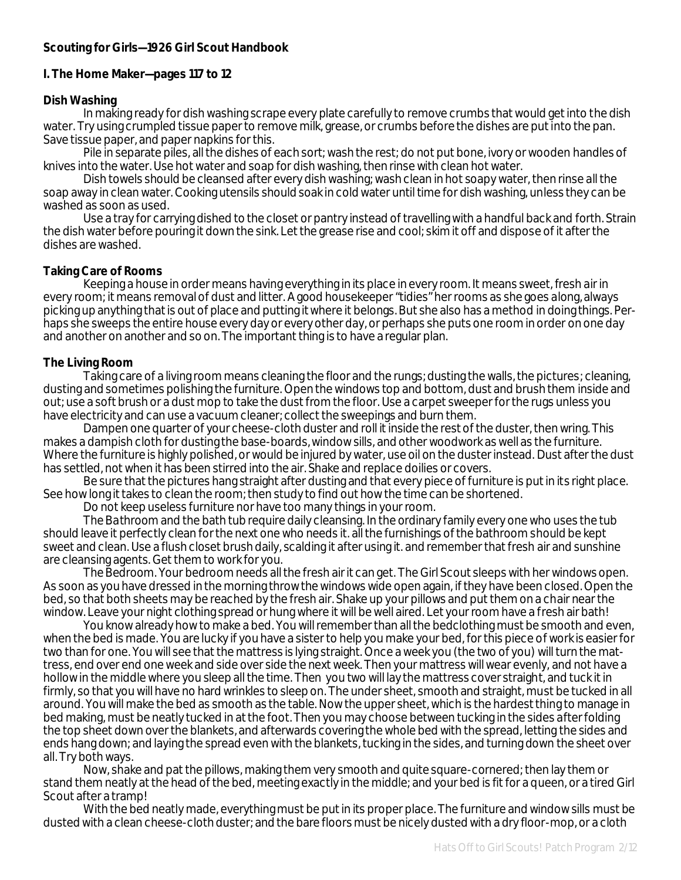#### **Scouting for Girls—1926 Girl Scout Handbook**

#### **I. The Home Maker—pages 117 to 12**

#### **Dish Washing**

In making ready for dish washing scrape every plate carefully to remove crumbs that would get into the dish water. Try using crumpled tissue paper to remove milk, grease, or crumbs before the dishes are put into the pan. Save tissue paper, and paper napkins for this.

Pile in separate piles, all the dishes of each sort; wash the rest; do not put bone, ivory or wooden handles of knives into the water. Use hot water and soap for dish washing, then rinse with clean hot water.

Dish towels should be cleansed after every dish washing; wash clean in hot soapy water, then rinse all the soap away in clean water. Cooking utensils should soak in cold water until time for dish washing, unless they can be washed as soon as used.

Use a tray for carrying dished to the closet or pantry instead of travelling with a handful back and forth. Strain the dish water before pouring it down the sink. Let the grease rise and cool; skim it off and dispose of it after the dishes are washed.

#### **Taking Care of Rooms**

Keeping a house in order means having everything in its place in every room. It means sweet, fresh air in every room; it means removal of dust and litter. A good housekeeper "tidies" her rooms as she goes along, always picking up anything that is out of place and putting it where it belongs. But she also has a method in doing things. Perhaps she sweeps the entire house every day or every other day, or perhaps she puts one room in order on one day and another on another and so on. The important thing is to have a regular plan.

#### **The Living Room**

Taking care of a living room means cleaning the floor and the rungs; dusting the walls, the pictures; cleaning, dusting and sometimes polishing the furniture. Open the windows top and bottom, dust and brush them inside and out; use a soft brush or a dust mop to take the dust from the floor. Use a carpet sweeper for the rugs unless you have electricity and can use a vacuum cleaner; collect the sweepings and burn them.

Dampen one quarter of your cheese-cloth duster and roll it inside the rest of the duster, then wring. This makes a dampish cloth for dusting the base-boards, window sills, and other woodwork as well as the furniture. Where the furniture is highly polished, or would be injured by water, use oil on the duster instead. Dust after the dust has settled, not when it has been stirred into the air. Shake and replace doilies or covers.

Be sure that the pictures hang straight after dusting and that every piece of furniture is put in its right place. See how long it takes to clean the room; then study to find out how the time can be shortened.

Do not keep useless furniture nor have too many things in your room.

*The Bathroom* and the bath tub require daily cleansing. In the ordinary family every one who uses the tub should leave it perfectly clean for the next one who needs it. all the furnishings of the bathroom should be kept sweet and clean. Use a flush closet brush daily, scalding it after using it. and remember that fresh air and sunshine are cleansing agents. Get them to work for you.

*The Bedroom*. Your bedroom needs all the fresh air it can get. The Girl Scout sleeps with her windows open. As soon as you have dressed in the morning throw the windows wide open again, if they have been closed. Open the bed, so that both sheets may be reached by the fresh air. Shake up your pillows and put them on a chair near the window. Leave your night clothing spread or hung where it will be well aired. Let your room have a fresh air bath!

You know already how to make a bed. You will remember than all the bedclothing must be smooth and even, when the bed is made. You are lucky if you have a sister to help you make your bed, for this piece of work is easier for two than for one. You will see that the mattress is lying straight. Once a week you (the two of you) will turn the mattress, end over end one week and side over side the next week. Then your mattress will wear evenly, and not have a hollow in the middle where you sleep all the time. Then you two will lay the mattress cover straight, and tuck it in firmly, so that you will have no hard wrinkles to sleep on. The under sheet, smooth and straight, must be tucked in all around. You will make the bed as smooth as the table. Now the upper sheet, which is the hardest thing to manage in bed making, must be neatly tucked in at the foot. Then you may choose between tucking in the sides after folding the top sheet down over the blankets, and afterwards covering the whole bed with the spread, letting the sides and ends hang down; and laying the spread even with the blankets, tucking in the sides, and turning down the sheet over all. Try both ways.

Now, shake and pat the pillows, making them very smooth and quite square-cornered; then lay them or stand them neatly at the head of the bed, meeting exactly in the middle; and your bed is fit for a queen, or a tired Girl Scout after a tramp!

With the bed neatly made, everything must be put in its proper place. The furniture and window sills must be dusted with a clean cheese-cloth duster; and the bare floors must be nicely dusted with a dry floor-mop, or a cloth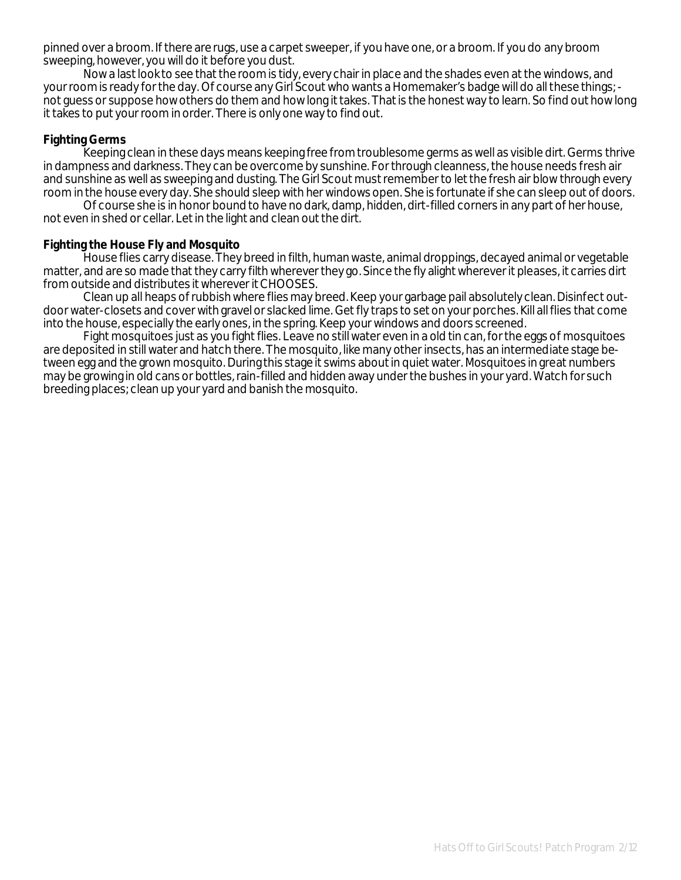pinned over a broom. If there are rugs, use a carpet sweeper, if you have one, or a broom. If you do any broom sweeping, however, you will do it before you dust.

Now a last look to see that the room is tidy, every chair in place and the shades even at the windows, and your room is ready for the day. Of course any Girl Scout who wants a Homemaker's badge will do all these things; not guess or suppose how others do them and how long it takes. That is the honest way to learn. So find out how long it takes to put your room in order. There is only one way to find out.

## **Fighting Germs**

Keeping clean in these days means keeping free from troublesome germs as well as visible dirt. Germs thrive in dampness and darkness. They can be overcome by sunshine. For through cleanness, the house needs fresh air and sunshine as well as sweeping and dusting. The Girl Scout must remember to let the fresh air blow through every room in the house every day. She should sleep with her windows open. She is fortunate if she can sleep out of doors.

Of course she is in honor bound to have no dark, damp, hidden, dirt-filled corners in any part of her house, not even in shed or cellar. Let in the light and clean out the dirt.

#### **Fighting the House Fly and Mosquito**

House flies carry disease. They breed in filth, human waste, animal droppings, decayed animal or vegetable matter, and are so made that they carry filth wherever they go. Since the fly alight wherever it pleases, it carries dirt from outside and distributes it wherever it CHOOSES.

Clean up all heaps of rubbish where flies may breed. Keep your garbage pail absolutely clean. Disinfect outdoor water-closets and cover with gravel or slacked lime. Get fly traps to set on your porches. Kill all flies that come into the house, especially the early ones, in the spring. Keep your windows and doors screened.

Fight mosquitoes just as you fight flies. Leave no still water even in a old tin can, for the eggs of mosquitoes are deposited in still water and hatch there. The mosquito, like many other insects, has an intermediate stage between egg and the grown mosquito. During this stage it swims about in quiet water. Mosquitoes in great numbers may be growing in old cans or bottles, rain-filled and hidden away under the bushes in your yard. Watch for such breeding places; clean up your yard and banish the mosquito.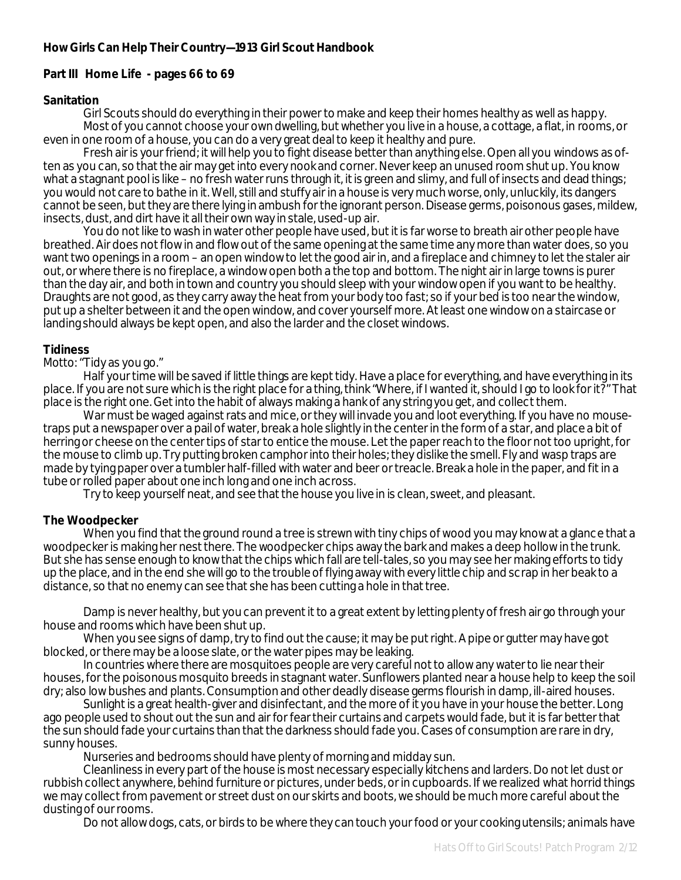## **How Girls Can Help Their Country—1913 Girl Scout Handbook**

## **Part III Home Life - pages 66 to 69**

#### **Sanitation**

Girl Scouts should do everything in their power to make and keep their homes healthy as well as happy. Most of you cannot choose your own dwelling, but whether you live in a house, a cottage, a flat, in rooms, or even in one room of a house, you can do a very great deal to keep it healthy and pure.

Fresh air is your friend; it will help you to fight disease better than anything else. Open all you windows as often as you can, so that the air may get into every nook and corner. Never keep an unused room shut up. You know what a stagnant pool is like – no fresh water runs through it, it is green and slimy, and full of insects and dead things; you would not care to bathe in it. Well, still and stuffy air in a house is very much worse, only, unluckily, its dangers cannot be seen, but they are there lying in ambush for the ignorant person. Disease germs, poisonous gases, mildew, insects, dust, and dirt have it all their own way in stale, used-up air.

You do not like to wash in water other people have used, but it is far worse to breath air other people have breathed. Air does not flow in and flow out of the same opening at the same time any more than water does, so you want two openings in a room – an open window to let the good air in, and a fireplace and chimney to let the staler air out, or where there is no fireplace, a window open both a the top and bottom. The night air in large towns is purer than the day air, and both in town and country you should sleep with your window open if you want to be healthy. Draughts are not good, as they carry away the heat from your body too fast; so if your bed is too near the window, put up a shelter between it and the open window, and cover yourself more. At least one window on a staircase or landing should always be kept open, and also the larder and the closet windows.

#### **Tidiness**

*Motto*: "Tidy as you go."

Half your time will be saved if little things are kept tidy. Have a place for everything, and have everything in its place. If you are not sure which is the right place for a thing, think "Where, if I wanted it, should I go to look for it?" That place is the right one. Get into the habit of always making a hank of any string you get, and collect them.

War must be waged against rats and mice, or they will invade you and loot everything. If you have no mousetraps put a newspaper over a pail of water, break a hole slightly in the center in the form of a star, and place a bit of herring or cheese on the center tips of star to entice the mouse. Let the paper reach to the floor not too upright, for the mouse to climb up. Try putting broken camphor into their holes; they dislike the smell. Fly and wasp traps are made by tying paper over a tumbler half-filled with water and beer or treacle. Break a hole in the paper, and fit in a tube or rolled paper about one inch long and one inch across.

Try to keep yourself neat, and see that the house you live in is clean, sweet, and pleasant.

#### **The Woodpecker**

When you find that the ground round a tree is strewn with tiny chips of wood you may know at a glance that a woodpecker is making her nest there. The woodpecker chips away the bark and makes a deep hollow in the trunk. But she has sense enough to know that the chips which fall are tell-tales, so you may see her making efforts to tidy up the place, and in the end she will go to the trouble of flying away with every little chip and scrap in her beak to a distance, so that no enemy can see that she has been cutting a hole in that tree.

Damp is never healthy, but you can prevent it to a great extent by letting plenty of fresh air go through your house and rooms which have been shut up.

When you see signs of damp, try to find out the cause; it may be put right. A pipe or gutter may have got blocked, or there may be a loose slate, or the water pipes may be leaking.

In countries where there are mosquitoes people are very careful not to allow any water to lie near their houses, for the poisonous mosquito breeds in stagnant water. Sunflowers planted near a house help to keep the soil dry; also low bushes and plants. Consumption and other deadly disease germs flourish in damp, ill-aired houses.

Sunlight is a great health-giver and disinfectant, and the more of it you have in your house the better. Long ago people used to shout out the sun and air for fear their curtains and carpets would fade, but it is far better that the sun should fade your curtains than that the darkness should fade you. Cases of consumption are rare in dry, sunny houses.

Nurseries and bedrooms should have plenty of morning and midday sun.

Cleanliness in every part of the house is most necessary especially kitchens and larders. Do not let dust or rubbish collect anywhere, behind furniture or pictures, under beds, or in cupboards. If we realized what horrid things we may collect from pavement or street dust on our skirts and boots, we should be much more careful about the dusting of our rooms.

Do not allow dogs, cats, or birds to be where they can touch your food or your cooking utensils; animals have